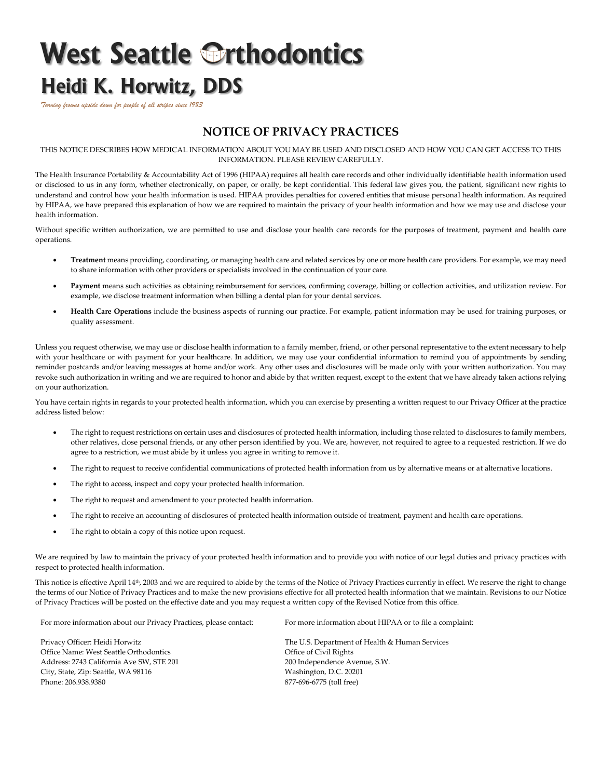## **West Seattle Orthodontics Heidi K. Horwitz, DDS**

*Turning frowns upside down for people of all stripes since 1983*

## **NOTICE OF PRIVACY PRACTICES**

THIS NOTICE DESCRIBES HOW MEDICAL INFORMATION ABOUT YOU MAY BE USED AND DISCLOSED AND HOW YOU CAN GET ACCESS TO THIS INFORMATION. PLEASE REVIEW CAREFULLY.

The Health Insurance Portability & Accountability Act of 1996 (HIPAA) requires all health care records and other individually identifiable health information used or disclosed to us in any form, whether electronically, on paper, or orally, be kept confidential. This federal law gives you, the patient, significant new rights to understand and control how your health information is used. HIPAA provides penalties for covered entities that misuse personal health information. As required by HIPAA, we have prepared this explanation of how we are required to maintain the privacy of your health information and how we may use and disclose your health information.

Without specific written authorization, we are permitted to use and disclose your health care records for the purposes of treatment, payment and health care operations.

- **Treatment** means providing, coordinating, or managing health care and related services by one or more health care providers. For example, we may need to share information with other providers or specialists involved in the continuation of your care.
- Payment means such activities as obtaining reimbursement for services, confirming coverage, billing or collection activities, and utilization review. For example, we disclose treatment information when billing a dental plan for your dental services.
- **Health Care Operations** include the business aspects of running our practice. For example, patient information may be used for training purposes, or quality assessment.

Unless you request otherwise, we may use or disclose health information to a family member, friend, or other personal representative to the extent necessary to help with your healthcare or with payment for your healthcare. In addition, we may use your confidential information to remind you of appointments by sending reminder postcards and/or leaving messages at home and/or work. Any other uses and disclosures will be made only with your written authorization. You may revoke such authorization in writing and we are required to honor and abide by that written request, except to the extent that we have already taken actions relying on your authorization.

You have certain rights in regards to your protected health information, which you can exercise by presenting a written request to our Privacy Officer at the practice address listed below:

- The right to request restrictions on certain uses and disclosures of protected health information, including those related to disclosures to family members, other relatives, close personal friends, or any other person identified by you. We are, however, not required to agree to a requested restriction. If we do agree to a restriction, we must abide by it unless you agree in writing to remove it.
- The right to request to receive confidential communications of protected health information from us by alternative means or at alternative locations.
- The right to access, inspect and copy your protected health information.
- The right to request and amendment to your protected health information.
- The right to receive an accounting of disclosures of protected health information outside of treatment, payment and health care operations.
- The right to obtain a copy of this notice upon request.

We are required by law to maintain the privacy of your protected health information and to provide you with notice of our legal duties and privacy practices with respect to protected health information.

This notice is effective April 14<sup>th</sup>, 2003 and we are required to abide by the terms of the Notice of Privacy Practices currently in effect. We reserve the right to change the terms of our Notice of Privacy Practices and to make the new provisions effective for all protected health information that we maintain. Revisions to our Notice of Privacy Practices will be posted on the effective date and you may request a written copy of the Revised Notice from this office.

For more information about our Privacy Practices, please contact:

Privacy Officer: Heidi Horwitz Office Name: West Seattle Orthodontics Address: 2743 California Ave SW, STE 201 City, State, Zip: Seattle, WA 98116 Phone: 206.938.9380

For more information about HIPAA or to file a complaint:

The U.S. Department of Health & Human Services Office of Civil Rights 200 Independence Avenue, S.W. Washington, D.C. 20201 877-696-6775 (toll free)